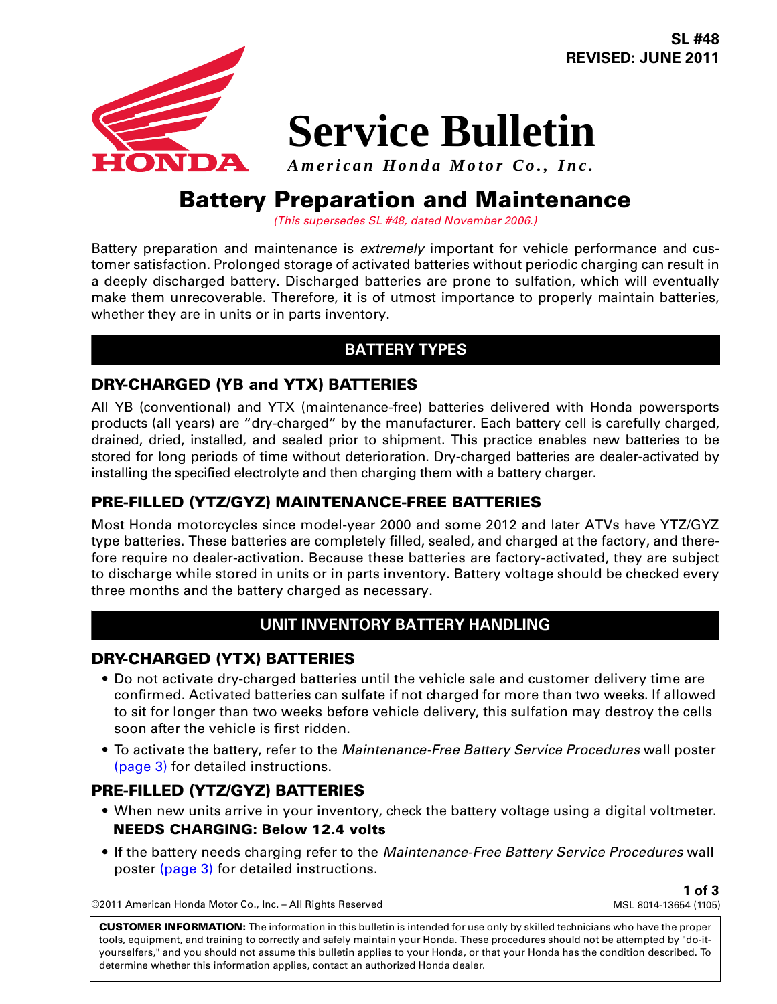**SL #48 REVISED: JUNE 2011**



# **Service Bulletin**

*American Honda Motor Co., Inc.*

# **Battery Preparation and Maintenance**

*(This supersedes SL #48, dated November 2006.)*

Battery preparation and maintenance is *extremely* important for vehicle performance and customer satisfaction. Prolonged storage of activated batteries without periodic charging can result in a deeply discharged battery. Discharged batteries are prone to sulfation, which will eventually make them unrecoverable. Therefore, it is of utmost importance to properly maintain batteries, whether they are in units or in parts inventory.

## **BATTERY TYPES**

#### **DRY-CHARGED (YB and YTX) BATTERIES**

All YB (conventional) and YTX (maintenance-free) batteries delivered with Honda powersports products (all years) are "dry-charged" by the manufacturer. Each battery cell is carefully charged, drained, dried, installed, and sealed prior to shipment. This practice enables new batteries to be stored for long periods of time without deterioration. Dry-charged batteries are dealer-activated by installing the specified electrolyte and then charging them with a battery charger.

### **PRE-FILLED (YTZ/GYZ) MAINTENANCE-FREE BATTERIES**

Most Honda motorcycles since model-year 2000 and some 2012 and later ATVs have YTZ/GYZ type batteries. These batteries are completely filled, sealed, and charged at the factory, and therefore require no dealer-activation. Because these batteries are factory-activated, they are subject to discharge while stored in units or in parts inventory. Battery voltage should be checked every three months and the battery charged as necessary.

#### **UNIT INVENTORY BATTERY HANDLING**

#### **DRY-CHARGED (YTX) BATTERIES**

- Do not activate dry-charged batteries until the vehicle sale and customer delivery time are confirmed. Activated batteries can sulfate if not charged for more than two weeks. If allowed to sit for longer than two weeks before vehicle delivery, this sulfation may destroy the cells soon after the vehicle is first ridden.
- To activate the battery, refer to the *Maintenance-Free Battery Service Procedures* wall poster [\(page 3\)](#page-2-0) for detailed instructions.

#### **PRE-FILLED (YTZ/GYZ) BATTERIES**

- When new units arrive in your inventory, check the battery voltage using a digital voltmeter. **NEEDS CHARGING: Below 12.4 volts**
- If the battery needs charging refer to the *Maintenance-Free Battery Service Procedures* wall poster [\(page 3\)](#page-2-0) for detailed instructions.

©2011 American Honda Motor Co., Inc. – All Rights Reserved

**1 of 3** MSL 8014-13654 (1105)

**CUSTOMER INFORMATION:** The information in this bulletin is intended for use only by skilled technicians who have the proper tools, equipment, and training to correctly and safely maintain your Honda. These procedures should not be attempted by "do-ityourselfers," and you should not assume this bulletin applies to your Honda, or that your Honda has the condition described. To determine whether this information applies, contact an authorized Honda dealer.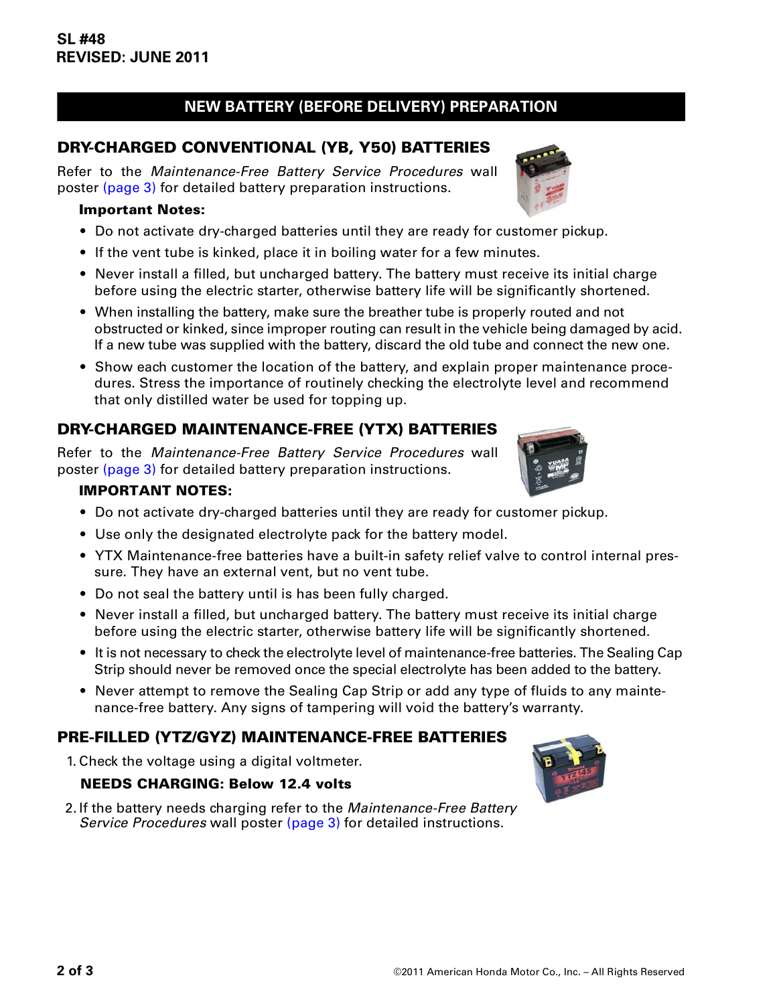# **NEW BATTERY (BEFORE DELIVERY) PREPARATION**

## **DRY-CHARGED CONVENTIONAL (YB, Y50) BATTERIES**

Refer to the *Maintenance-Free Battery Service Procedures* wall poster [\(page 3\)](#page-2-0) for detailed battery preparation instructions.

#### **Important Notes:**

- Do not activate dry-charged batteries until they are ready for customer pickup.
- If the vent tube is kinked, place it in boiling water for a few minutes.
- Never install a filled, but uncharged battery. The battery must receive its initial charge before using the electric starter, otherwise battery life will be significantly shortened.
- When installing the battery, make sure the breather tube is properly routed and not obstructed or kinked, since improper routing can result in the vehicle being damaged by acid. If a new tube was supplied with the battery, discard the old tube and connect the new one.
- Show each customer the location of the battery, and explain proper maintenance procedures. Stress the importance of routinely checking the electrolyte level and recommend that only distilled water be used for topping up.

## **DRY-CHARGED MAINTENANCE-FREE (YTX) BATTERIES**

Refer to the *Maintenance-Free Battery Service Procedures* wall poster [\(page 3\)](#page-2-0) for detailed battery preparation instructions.

#### **IMPORTANT NOTES:**

- Do not activate dry-charged batteries until they are ready for customer pickup.
- Use only the designated electrolyte pack for the battery model.
- YTX Maintenance-free batteries have a built-in safety relief valve to control internal pressure. They have an external vent, but no vent tube.
- Do not seal the battery until is has been fully charged.
- Never install a filled, but uncharged battery. The battery must receive its initial charge before using the electric starter, otherwise battery life will be significantly shortened.
- It is not necessary to check the electrolyte level of maintenance-free batteries. The Sealing Cap Strip should never be removed once the special electrolyte has been added to the battery.
- Never attempt to remove the Sealing Cap Strip or add any type of fluids to any maintenance-free battery. Any signs of tampering will void the battery's warranty.

## **PRE-FILLED (YTZ/GYZ) MAINTENANCE-FREE BATTERIES**

1.Check the voltage using a digital voltmeter.

#### **NEEDS CHARGING: Below 12.4 volts**

2.If the battery needs charging refer to the *Maintenance-Free Battery Service Procedures* wall poster [\(page 3\)](#page-2-0) for detailed instructions.